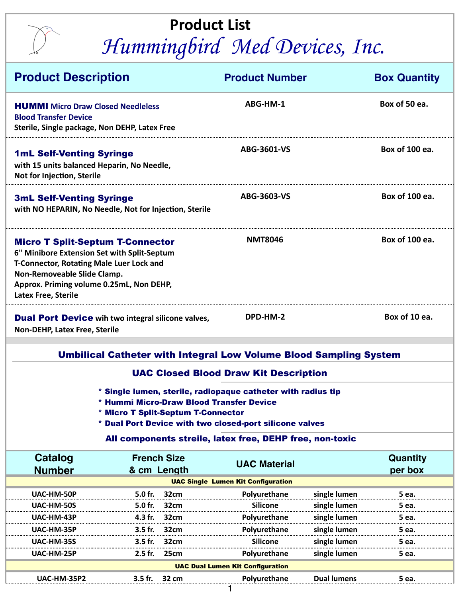## **Product List**  *Hummingbird Med Devices, Inc.*

| <b>Product Description</b>                                                                                                                                                                                                                                            |                                    | <b>Product Number</b>                     |                    | <b>Box Quantity</b> |  |  |  |  |
|-----------------------------------------------------------------------------------------------------------------------------------------------------------------------------------------------------------------------------------------------------------------------|------------------------------------|-------------------------------------------|--------------------|---------------------|--|--|--|--|
| <b>HUMMI</b> Micro Draw Closed Needleless<br><b>Blood Transfer Device</b><br>Sterile, Single package, Non DEHP, Latex Free                                                                                                                                            |                                    | ABG-HM-1                                  |                    | Box of 50 ea.       |  |  |  |  |
| <b>1mL Self-Venting Syringe</b><br>with 15 units balanced Heparin, No Needle,<br>Not for Injection, Sterile                                                                                                                                                           |                                    | ABG-3601-VS                               |                    | Box of 100 ea.      |  |  |  |  |
| <b>3mL Self-Venting Syringe</b><br>with NO HEPARIN, No Needle, Not for Injection, Sterile                                                                                                                                                                             |                                    | ABG-3603-VS                               |                    | Box of 100 ea.      |  |  |  |  |
| <b>Micro T Split-Septum T-Connector</b><br>6" Minibore Extension Set with Split-Septum<br><b>T-Connector, Rotating Male Luer Lock and</b><br>Non-Removeable Slide Clamp.<br>Approx. Priming volume 0.25mL, Non DEHP,<br><b>Latex Free, Sterile</b>                    | <b>NMT8046</b>                     |                                           | Box of 100 ea.     |                     |  |  |  |  |
| Box of 10 ea.<br>DPD-HM-2<br><b>Dual Port Device</b> wih two integral silicone valves,<br><b>Non-DEHP, Latex Free, Sterile</b>                                                                                                                                        |                                    |                                           |                    |                     |  |  |  |  |
| <b>Umbilical Catheter with Integral Low Volume Blood Sampling System</b>                                                                                                                                                                                              |                                    |                                           |                    |                     |  |  |  |  |
| <b>UAC Closed Blood Draw Kit Description</b>                                                                                                                                                                                                                          |                                    |                                           |                    |                     |  |  |  |  |
| * Single lumen, sterile, radiopaque catheter with radius tip<br>* Hummi Micro-Draw Blood Transfer Device<br>* Micro T Split-Septum T-Connector<br>* Dual Port Device with two closed-port silicone valves<br>All components streile, latex free, DEHP free, non-toxic |                                    |                                           |                    |                     |  |  |  |  |
| <b>Catalog</b>                                                                                                                                                                                                                                                        | <b>French Size</b>                 | <b>UAC Material</b>                       |                    | <b>Quantity</b>     |  |  |  |  |
| <b>Number</b>                                                                                                                                                                                                                                                         | & cm Length                        |                                           |                    | per box             |  |  |  |  |
|                                                                                                                                                                                                                                                                       |                                    | <b>UAC Single Lumen Kit Configuration</b> | single lumen       |                     |  |  |  |  |
| UAC-HM-50P<br><b>UAC-HM-50S</b>                                                                                                                                                                                                                                       | 5.0 fr.<br>32cm<br>5.0 fr.<br>32cm | Polyurethane<br><b>Silicone</b>           | single lumen       | 5 ea.<br>5 ea.      |  |  |  |  |
| <b>UAC-HM-43P</b>                                                                                                                                                                                                                                                     | 32cm<br>4.3 fr.                    | Polyurethane                              | single lumen       | 5 ea.               |  |  |  |  |
| <b>UAC-HM-35P</b>                                                                                                                                                                                                                                                     | 3.5 fr.<br>32cm                    | Polyurethane                              | single lumen       | 5 еа.               |  |  |  |  |
| UAC-HM-35S                                                                                                                                                                                                                                                            | 3.5 fr.<br>32cm                    | Silicone                                  | single lumen       | 5 ea.               |  |  |  |  |
| UAC-HM-25P                                                                                                                                                                                                                                                            | 2.5 fr.<br>25cm                    | Polyurethane                              | single lumen       | 5 ea.               |  |  |  |  |
| <b>UAC Dual Lumen Kit Configuration</b>                                                                                                                                                                                                                               |                                    |                                           |                    |                     |  |  |  |  |
| <b>UAC-HM-35P2</b>                                                                                                                                                                                                                                                    | 3.5 fr.<br>32 cm                   | Polyurethane                              | <b>Dual lumens</b> | 5 ea.               |  |  |  |  |